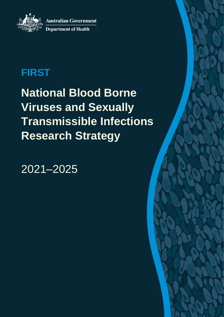**Australian Government Department of Health** 

# **FIRST**

**National Blood Borne Viruses and Sexually Transmissible Infections Research Strategy**

2021–2025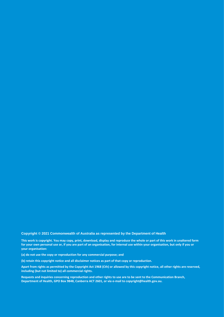**Copyright © 2021 Commonwealth of Australia as represented by the Department of Health** 

**This work is copyright. You may copy, print, download, display and reproduce the whole or part of this work in unaltered form for your own personal use or, if you are part of an organisation, for internal use within your organisation, but only if you or your organisation:**

**(a) do not use the copy or reproduction for any commercial purpose; and**

**(b) retain this copyright notice and all disclaimer notices as part of that copy or reproduction.**

**Apart from rights as permitted by the Copyright Act 1968 (Cth) or allowed by this copyright notice, all other rights are reserved, including (but not limited to) all commercial rights.**

**Requests and inquiries concerning reproduction and other rights to use are to be sent to the Communication Branch, Department of Health, GPO Box 9848, Canberra ACT 2601, or via e-mail to copyright@health.gov.au.**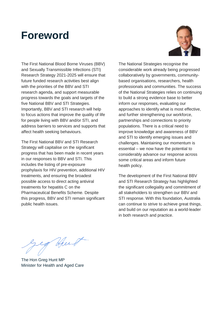### **Foreword**



The First National Blood Borne Viruses (BBV) and Sexually Transmissible Infections (STI) Research Strategy 2021-2025 will ensure that future funded research activities best align with the priorities of the BBV and STI research agenda, and support measurable progress towards the goals and targets of the five National BBV and STI Strategies. Importantly, BBV and STI research will help to focus actions that improve the quality of life for people living with BBV and/or STI, and address barriers to services and supports that affect health seeking behaviours.

The First National BBV and STI Research Strategy will capitalise on the significant progress that has been made in recent years in our responses to BBV and STI. This includes the listing of pre-exposure prophylaxis for HIV prevention, additional HIV treatments, and ensuring the broadest possible access to direct acting antiviral treatments for hepatitis C on the Pharmaceutical Benefits Scheme. Despite this progress, BBV and STI remain significant public health issues.

The National Strategies recognise the considerable work already being progressed collaboratively by governments, communitybased organisations, researchers, health professionals and communities. The success of the National Strategies relies on continuing to build a strong evidence base to better inform our responses, evaluating our approaches to identify what is most effective, and further strengthening our workforce, partnerships and connections to priority populations. There is a critical need to improve knowledge and awareness of BBV and STI to identify emerging issues and challenges. Maintaining our momentum is essential – we now have the potential to considerably advance our response across some critical areas and inform future health policy.

The development of the First National BBV and STI Research Strategy has highlighted the significant collegiality and commitment of all stakeholders to strengthen our BBV and STI response. With this foundation, Australia can continue to strive to achieve great things, and build on our reputation as a world-leader in both research and practice.

Hurt

The Hon Greg Hunt MP Minister for Health and Aged Care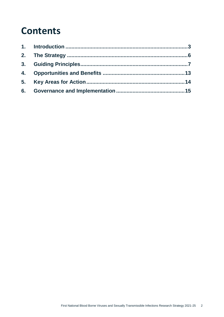### **Contents**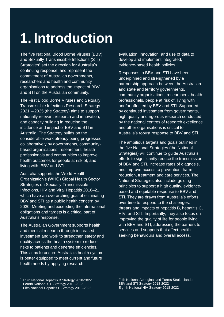# <span id="page-4-0"></span>**1. Introduction**

The five National Blood Borne Viruses (BBV) and Sexually Transmissible Infections (STI) Strategies<sup>1</sup> set the direction for Australia's continuing response, and represent the commitment of Australian governments, researchers and health and community organisations to address the impact of BBV and STI on the Australian community.

The First Blood Borne Viruses and Sexually Transmissible Infections Research Strategy 2021 –-2025 (the Strategy) aims to support nationally relevant research and innovation, and capacity building in reducing the incidence and impact of BBV and STI in Australia. The Strategy builds on the considerable work already being progressed collaboratively by governments, communitybased organisations, researchers, health professionals and communities to improve health outcomes for people at risk of, and living with, BBV and STI.

Australia supports the World Health Organization's (WHO) Global Health Sector Strategies on Sexually Transmissible Infections, HIV and Viral Hepatitis 2016–21, which have an overarching goal of eliminating BBV and STI as a public health concern by 2030. Meeting and exceeding the international obligations and targets is a critical part of Australia's response.

The Australian Government supports health and medical research through increased investment and work to strengthen safety and quality across the health system to reduce risks to patients and generate efficiencies. This aims to ensure Australia's health system is better equipped to meet current and future health needs by applying research,

evaluation, innovation, and use of data to develop and implement integrated, evidence-based health policies.

Responses to BBV and STI have been underpinned and strengthened by a partnership approach between the Australian and state and territory governments, community organisations, researchers, health professionals, people at risk of, living with and/or affected by BBV and STI. Supported by continued investment from governments, high quality and rigorous research conducted by the national centres of research excellence and other organisations is critical to Australia's robust response to BBV and STI.

The ambitious targets and goals outlined in the five National Strategies (the National Strategies) will continue to guide Australia's efforts to significantly reduce the transmission of BBV and STI, increase rates of diagnosis, and improve access to prevention, harm reduction, treatment and care services. The National Strategies also include guiding principles to support a high quality, evidencebased and equitable response to BBV and STI. They are drawn from Australia's efforts over time to respond to the challenges, threats and impacts of hepatitis B, hepatitis C, HIV, and STI. Importantly, they also focus on improving the quality of life for people living with BBV and STI, addressing the barriers to services and supports that affect health seeking behaviours and overall access.

<sup>1</sup> Third National Hepatitis B Strategy 2018-2022 Fourth National STI Strategy 2018-2022 Fifth National Hepatitis C Strategy 2018-2022

Fifth National Aboriginal and Torres Strait Islander BBV and STI Strategy 2018-2022 Eighth National HIV Strategy 2018-2022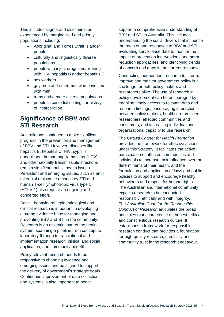This includes stigma and discrimination experienced by marginalised and priority populations including:

- Aboriginal and Torres Strait Islander people
- culturally and linguistically diverse populations
- people who inject drugs and/or living with HIV, hepatitis B and/or hepatitis C
- sex workers
- gay men and other men who have sex with men
- trans and gender diverse populations
- people in custodial settings or history of incarceration.

### **Significance of BBV and STI Research**

Australia has continued to make significant progress in the prevention and management of BBV and STI. However, diseases like hepatitis B, hepatitis C, HIV, syphilis, gonorrhoea, human papilloma virus (HPV) and other sexually transmissible infections remain significant public health issues. Persistent and emerging issues, such as antimicrobial resistance among key STI and human T-cell lymphotropic virus type 1 (HTLV-1) also require an ongoing and concerted effort.

Social, behavioural, epidemiological and clinical research is important in developing a strong evidence base for managing and preventing BBV and STI in the community. Research is an essential part of the health system, spanning a pipeline from concept to laboratory through to translational and implementation research, clinical and social application, and community benefit.

Policy relevant research needs to be responsive to changing evidence and emerging issues and be aligned to support the delivery of government's strategic goals. Continuous improvement of data collection and systems is also important to better

support a comprehensive understanding of BBV and STI in Australia. This includes understanding the social drivers that influence the rates of and responses to BBV and STI, evaluating surveillance data to monitor the impact of prevention interventions and harm reduction approaches, and identifying trends of concern and gaps in the current response.

Conducting independent research to inform, improve and monitor government policy is a challenge for both policy makers and researchers alike. The use of research in policy development can be encouraged by enabling timely access to relevant data and research findings, encouraging interaction between policy makers, healthcare providers, researchers, affected communities and consumers, and increasing individual and organisational capacity to use research.

The *Ottawa Charter for Health Promotion* provides the framework for effective actions under this Strategy. It facilitates the active participation of affected communities and individuals to increase their influence over the determinants of their health, and the formulation and application of laws and public policies to support and encourage healthy behaviours and respect for human rights. The Australian and international community expects research to be conducted responsibly, ethically and with integrity. The *Australian Code for the Responsible Conduct of Research* articulates the broad principles that characterise an honest, ethical and conscientious research culture. It establishes a framework for responsible research conduct that provides a foundation for high-quality research, credibility and community trust in the research endeavour.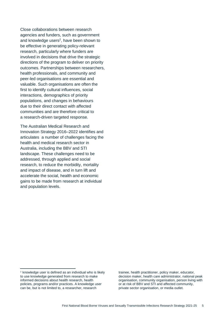Close collaborations between research agencies and funders, such as government and knowledge users<sup>2</sup>, have been shown to be effective in generating policy-relevant research, particularly where funders are involved in decisions that drive the strategic directions of the program to deliver on priority outcomes. Partnerships between researchers, health professionals, and community and peer-led organisations are essential and valuable. Such organisations are often the first to identify cultural influences, social interactions, demographics of priority populations, and changes in behaviours due to their direct contact with affected communities and are therefore critical to a research-driven targeted response.

The Australian Medical Research and Innovation Strategy 2016–2022 identifies and articulates a number of challenges facing the health and medical research sector in Australia, including the BBV and STI landscape. These challenges need to be addressed, through applied and social research, to reduce the morbidity, mortality and impact of disease, and in turn lift and accelerate the social, health and economic gains to be made from research at individual and population levels.

 $\overline{a}$ 

trainee, health practitioner, policy maker, educator, decision maker, health care administrator, national peak organisation, community organisation, person living with or at risk of BBV and STI and affected community, private sector organisation, or media outlet.

<sup>2</sup> knowledge user is defined as an individual who is likely to use knowledge generated from research to make informed decisions about health research, health policies, programs and/or practices. A knowledge user can be, but is not limited to, a researcher, research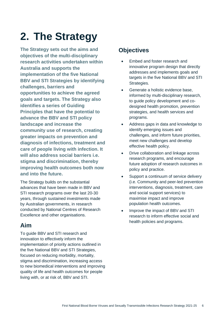# <span id="page-7-0"></span>**2. The Strategy**

**The Strategy sets out the aims and objectives of the multi-disciplinary research activities undertaken within Australia and supports the implementation of the five National BBV and STI Strategies by identifying challenges, barriers and opportunities to achieve the agreed goals and targets. The Strategy also identifies a series of Guiding Principles that have the potential to advance the BBV and STI policy landscape and increase the community use of research, creating greater impacts on prevention and diagnosis of infections, treatment and care of people living with infection. It will also address social barriers i.e. stigma and discrimination, thereby improving health outcomes both now and into the future.** 

The Strategy builds on the substantial advances that have been made in BBV and STI research programs over the last 20-30 years, through sustained investments made by Australian governments, in research conducted by National Centres of Research Excellence and other organisations.

### **Aim**

To guide BBV and STI research and innovation to effectively inform the implementation of priority actions outlined in the five National BBV and STI Strategies, focused on reducing morbidity, mortality, stigma and discrimination, increasing access to new biomedical interventions and improving quality of life and health outcomes for people living with, or at risk of, BBV and STI.

### **Objectives**

- Embed and foster research and innovative program design that directly addresses and implements goals and targets in the five National BBV and STI Strategies.
- Generate a holistic evidence base, informed by multi-disciplinary research, to guide policy development and codesigned health promotion, prevention strategies, and health services and programs.
- Address gaps in data and knowledge to identify emerging issues and challenges, and inform future priorities, meet new challenges and develop effective health policy.
- Drive collaboration and linkage across research programs, and encourage future adoption of research outcomes in policy and practice.
- Support a continuum of service delivery (i.e. Community and peer-led prevention interventions, diagnosis, treatment, care and social support services) to maximise impact and improve population health outcomes.
- Improve the impact of BBV and STI research to inform effective social and health policies and programs.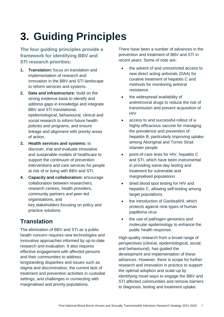# <span id="page-8-0"></span>**3. Guiding Principles**

**The four guiding principles provide a framework for identifying BBV and STI research priorities:**

- **1. Translation:** focus on translation and implementation of research and innovation in the BBV and STI landscape to reform services and systems.
- **2. Data and infrastructure:** build on the strong evidence-base to identify and address gaps in knowledge and integrate BBV and STI translational, epidemiological, behavioural, clinical and social research to inform future health policies and programs, and ensure linkage and alignment with priority areas of action.
- **3. Health services and systems:** to discover, trial and evaluate innovative and sustainable models of healthcare to support the continuum of prevention interventions and care services for people at risk of or living with BBV and STI.
- **4. Capacity and collaboration:** encourage collaboration between researchers, research centres, health providers, community partners and peer-led organisations, and key stakeholders focusing on policy and practice solutions.

### **Translation**

The elimination of BBV and STI as a public health concern requires new technologies and innovative approaches informed by up-to-date research and evaluation. It also requires effective engagement with affected persons and their communities to address longstanding disparities and issues such as stigma and discrimination, the current lack of treatment and prevention activities in custodial settings, and challenges in connecting with marginalised and priority populations.

There have been a number of advances in the prevention and treatment of BBV and STI in recent years. Some of note are:

- the advent of and unrestricted access to new direct acting antivirals (DAA) for curative treatment of hepatitis C and methods for monitoring antiviral resistance
- the widespread availability of antiretroviral drugs to reduce the risk of transmission and prevent acquisition of **HIV**
- access to and successful rollout of a highly efficacious vaccine for managing the prevalence and prevention of hepatitis B, particularly improving uptake among Aboriginal and Torres Strait Islander people
- point-of-care tests for HIV, hepatitis C and STI, which have been instrumental in providing same-day testing and treatment for vulnerable and marginalised populations
- dried blood spot testing for HIV and hepatitis C, allowing self-testing among target populations
- the introduction of Gardisal®9, which protects against nine types of human papilloma virus
- the use of pathogen genomics and molecular epidemiology to enhance the public health response.

High-quality research from a broad range of perspectives (clinical, epidemiological, social, and behavioural), has guided the development and implementation of these advances. However, there is scope for further research and innovation in practice to support the optimal adoption and scale-up by identifying novel ways to engage the BBV and STI affected communities and remove barriers to diagnosis, testing and treatment uptake.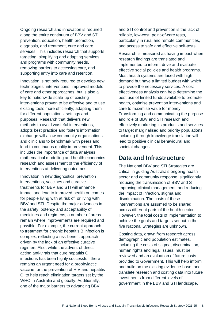Ongoing research and innovation is required along the entire continuum of BBV and STI prevention, education, health promotion, diagnosis, and treatment, cure and care services. This includes research that supports targeting, simplifying and adapting services and programs with community needs, removing barriers to accessing care, and supporting entry into care and retention.

Innovation is not only required to develop new technologies, interventions, improved models of care and other approaches, but is also a key to nationwide scale-up of existing interventions proven to be effective and to use existing tools more efficiently; adapting them for different populations, settings and purposes. Research that delivers new methods to avoid wasteful interventions, adopts best practice and fosters information exchange will allow community organisations and clinicians to benchmark with peers and lead to continuous quality improvement. This includes the importance of data analyses, mathematical modelling and health economics research and assessment of the efficiency of interventions at delivering outcomes.

Innovation in new diagnostics, prevention interventions, vaccines and curative treatments for BBV and STI will enhance impact and lead to improved health outcomes for people living with at risk of, or living with BBV and STI. Despite the major advances in the safety, potency and acceptability of medicines and regimens, a number of areas remain where improvements are required and possible. For example, the current approach to treatment for chronic hepatitis B infection is complex, reflecting a risk-benefit approach driven by the lack of an effective curative regimen. Also, while the advent of directacting anti-virals that cure hepatitis C infections has been highly successful, there remains an urgent need for a prophylactic vaccine for the prevention of HIV and hepatitis C, to help reach elimination targets set by the WHO in Australia and globally. Additionally, one of the major barriers to advancing BBV

and STI control and prevention is the lack of reliable, low-cost, point-of-care tests, particularly in rural and remote communities, and access to safe and effective self-tests.

Research is measured as having impact when research findings are translated and implemented to inform, drive and evaluate effective social policies and health programs. Most health systems are faced with high demand but have a limited budget with which to provide the necessary services. A costeffectiveness analysis can help determine the best use of limited funds available to promote health, optimise prevention interventions and care to maximise value for money. Transforming and communicating the purpose and role of BBV and STI research and effectively marketing its products and services to target marginalised and priority populations, including through knowledge translation will lead to positive clinical behavioural and societal changes.

#### **Data and Infrastructure**

The National BBV and STI Strategies are critical in guiding Australia's ongoing health sector and community response, significantly reducing the transmission of BBV and STI, improving clinical management, and reducing the impact of infection, stigma and discrimination. The costs of these interventions are assumed to be shared across different parts of the health sector. However, the total costs of implementation to achieve the goals and targets set out in the five National Strategies are unknown.

Costing data, drawn from research across demographic and population estimates, including the costs of stigma, discrimination, human rights and legal issues, must be reviewed and an evaluation of future costs provided to Government. This will help inform and build on the existing evidence-base, and translate research and costing data into future investments from different levels of government in the BBV and STI landscape.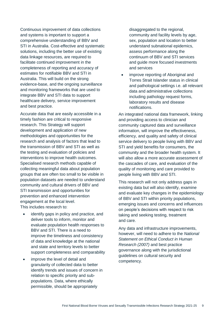Continuous improvement of data collections and systems is important to support a comprehensive understanding of BBV and STI in Australia. Cost-effective and systematic solutions, including the better use of existing data linkage resources, are required to facilitate continued improvement in the completeness of reporting and accuracy of estimates for notifiable BBV and STI in Australia. This will build on the strong evidence-base, and the ongoing surveillance and monitoring frameworks that are used to integrate BBV and STI data to support healthcare delivery, service improvement and best practice.

Accurate data that are easily accessible in a timely fashion are critical to responsive research. This Strategy will support development and application of new methodologies and opportunities for the research and analysis of factors that lead to the transmission of BBV and STI as well as the testing and evaluation of policies and interventions to improve health outcomes. Specialised research methods capable of collecting meaningful data about population groups that are often too small to be visible in population datasets are needed to understand community and cultural drivers of BBV and STI transmission and opportunities for prevention and enhanced intervention engagement at the local level. This includes research to:

- identify gaps in policy and practice, and deliver tools to inform, monitor and evaluate population health responses to BBV and STI. There is a need to improve the timeliness and consistency of data and knowledge at the national and state and territory levels to better support completeness and comparability
- improve the level of detail and granularity of collected data to better identify trends and issues of concern in relation to specific priority and subpopulations. Data, where ethically permissible, should be appropriately

disaggregated to the regional, community and facility levels by age, sex, population and location to better understand subnational epidemics, assess performance along the continuum of BBV and STI services and guide more focused investments and services

 improve reporting of Aboriginal and Torres Strait Islander status in clinical and pathological settings i.e. all relevant data and administrative collections including pathology request forms, laboratory results and disease notifications.

An integrated national data framework, linking and providing access to clinician and community captured data and surveillance information, will improve the effectiveness, efficiency, and quality and safety of clinical service delivery to people living with BBV and STI and yield benefits for consumers, the community and the broader health system. It will also allow a more accurate assessment of the cascades of care, and evaluation of the quality of monitoring and care provided to people living with BBV and STI.

This research will not only address gaps in existing data but will also identify, examine and evaluate key changes in the epidemiology of BBV and STI within priority populations, emerging issues and concerns and influences on people's decisions with respect to risk taking and seeking testing, treatment and care.

Any data and infrastructure improvements, however, will need to adhere to the *National Statement on Ethical Conduct in Human Research (2007)* and best practice governance along with the jurisdictional guidelines on cultural security and competency.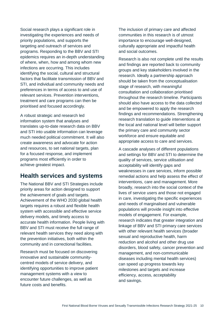Social research plays a significant role in investigating the experiences and needs of priority populations, and supports the targeting and outreach of services and programs. Responding to the BBV and STI epidemics requires an in-depth understanding of where, when, how and among whom new infections are occurring. This includes identifying the social, cultural and structural factors that facilitate transmission of BBV and STI, and individual and community needs and preferences in terms of access to and use of relevant services. Prevention interventions, treatment and care programs can then be prioritised and focused accordingly.

A robust strategic and research led information system that analyses and translates up-to-date research data on BBV and STI into usable information can leverage much needed political commitment. It will also create awareness and advocate for action and resources, to set national targets, plan for a focused response, and implement programs most efficiently in order to achieve greatest impact.

### **Health services and systems**

The National BBV and STI Strategies include priority areas for action designed to support the achievement of goals and targets. Achievement of the WHO 2030 global health targets requires a robust and flexible health system with accessible and effective service delivery models, and timely access to accurate health information. People living with BBV and STI must receive the full range of relevant health services they need along with the prevention initiatives, both within the community and in correctional facilities.

Research must be focused on discovering innovative and sustainable communitycentred models of service delivery, and identifying opportunities to improve patient management systems with a view to encounter future challenges, as well as future costs and benefits.

The inclusion of primary care and affected communities in this research is of utmost importance to encourage well-designed, culturally appropriate and impactful health and social outcomes.

Research is also not complete until the results and findings are reported back to community groups and key stakeholders involved in the research. Ideally a partnership approach should be taken from the conceptualisation stage of research, with meaningful consultation and collaboration prioritised throughout the research timeline. Participants should also have access to the data collected and be empowered to apply the research findings and recommendations. Strengthening research translation to guide interventions at the local and national level will better support the primary care and community sector workforce and ensure equitable and appropriate access to care and services.

A cascade analyses of different populations and settings for BBV and STI to determine the quality of services, service utilisation and acceptability will identify gaps and weaknesses in care services, inform possible remedial actions and help assess the effect of interventions, care and management. More broadly, research into the social context of the lives of service users and those not engaged in care, investigating the specific experiences and needs of marginalised and vulnerable populations will provide insight into effective models of engagement. For example, research indicates that greater integration and linkage of BBV and STI primary care services with other relevant health services (broader sexual and reproductive health, harm reduction and alcohol and other drug use disorders, blood safety, cancer prevention and management, and non-communicable diseases including mental health services) can speed up progress towards key milestones and targets and increase efficiency, access, acceptability and savings.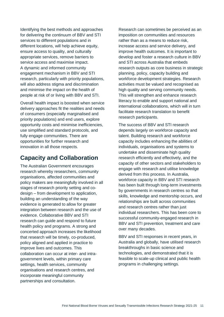Identifying the best methods and approaches for delivering the continuum of BBV and STI services to different populations and in different locations, will help achieve equity, ensure access to quality, and culturally appropriate services, remove barriers to service access and maximise impact. A dynamic and informed community engagement mechanism in BBV and STI research, particularly with priority populations, will also address stigma and discrimination and minimise the impact on the health of people at risk of or living with BBV and STI.

Overall health impact is boosted when service delivery approaches fit the realities and needs of consumers (especially marginalised and priority populations) and end users, explore opportunity costs and minimise inefficiencies, use simplified and standard protocols, and fully engage communities. There are opportunities for further research and innovation in all those respects.

### **Capacity and Collaboration**

The Australian Government encourages research whereby researchers, community organisations, affected communities and policy makers are meaningfully involved in all stages of research priority setting and codesign – from development to application, building an understanding of the way evidence is generated to allow for greater integration between research and the use of evidence. Collaborative BBV and STI research can guide and respond to future health policy and programs. A strong and concerted approach increases the likelihood that research will be timely, co-produced, policy aligned and applied in practice to improve lives and outcomes. This collaboration can occur at inter- and intragovernment levels, within primary care settings, health services, community organisations and research centres, and incorporate meaningful community partnerships and consultation.

Research can sometimes be perceived as an imposition on communities and resources rather than as a means to reduce risk, increase access and service delivery, and improve health outcomes. It is important to develop and foster a research culture in BBV and STI across Australia that embeds research outputs as core business in strategic planning, policy, capacity building and workforce development strategies. Research activities must be valued and recognised as high quality and serving community needs. This will strengthen and enhance research literacy to enable and support national and international collaborations, which will in turn facilitate research translation to benefit research participants.

The success of BBV and STI research depends largely on workforce capacity and talent. Building research and workforce capacity includes enhancing the abilities of individuals, organisations and systems to undertake and disseminate high quality research efficiently and effectively, and the capacity of other sectors and stakeholders to engage with research and utilise knowledge derived from this process. In Australia, workforce capacity in BBV and STI research has been built through long-term investments by governments in research centres so that skills, knowledge and mentorship occurs, and relationships are built across communities and research centres rather than just individual researchers. This has been core to successful community-engaged research in BBV and STI prevention, treatment and care over many decades.

BBV and STI responses in recent years, in Australia and globally, have utilised research breakthroughs in basic science and technologies, and demonstrated that it is feasible to scale-up clinical and public health programs in challenging settings.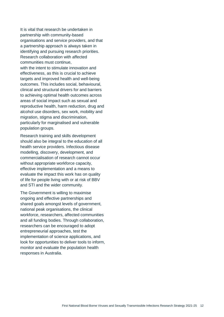It is vital that research be undertaken in partnership with community-based organisations and service providers, and that a partnership approach is always taken in identifying and pursuing research priorities. Research collaboration with affected communities must continue, with the intent to stimulate innovation and effectiveness, as this is crucial to achieve targets and improved health and well-being outcomes. This includes social, behavioural, clinical and structural drivers for and barriers to achieving optimal health outcomes across areas of social impact such as sexual and reproductive health, harm reduction, drug and alcohol use disorders, sex work, mobility and migration, stigma and discrimination, particularly for marginalised and vulnerable population groups.

Research training and skills development should also be integral to the education of all health service providers. Infectious disease modelling, discovery, development, and commercialisation of research cannot occur without appropriate workforce capacity, effective implementation and a means to evaluate the impact this work has on quality of life for people living with or at risk of BBV and STI and the wider community.

The Government is willing to maximise ongoing and effective partnerships and shared goals amongst levels of government, national peak organisations, the clinical workforce, researchers, affected communities and all funding bodies. Through collaboration, researchers can be encouraged to adopt entrepreneurial approaches, test the implementation of science applications, and look for opportunities to deliver tools to inform, monitor and evaluate the population health responses in Australia.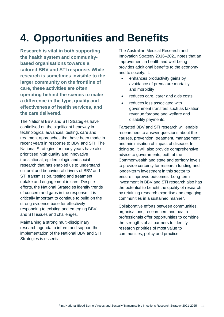## <span id="page-14-0"></span>**4. Opportunities and Benefits**

**Research is vital in both supporting the health system and communitybased organisations towards a tailored BBV and STI response. While research is sometimes invisible to the larger community on the frontline of care, these activities are often operating behind the scenes to make a difference in the type, quality and effectiveness of health services, and the care delivered.**

The National BBV and STI Strategies have capitalised on the significant headway in technological advances, testing, care and treatment approaches that have been made in recent years in response to BBV and STI. The National Strategies for many years have also prioritised high quality and innovative translational, epidemiologic and social research that has enabled us to understand cultural and behavioural drivers of BBV and STI transmission, testing and treatment uptake and engagement in care. Despite efforts, the National Strategies identify trends of concern and gaps in the response. It is critically important to continue to build on the strong evidence base for effectively responding to existing and emerging BBV and STI issues and challenges.

Maintaining a strong multi-disciplinary research agenda to inform and support the implementation of the National BBV and STI Strategies is essential.

The Australian Medical Research and Innovation Strategy 2016–2021 notes that an improvement in health and well-being provides additional benefits to the economy and to society. It:

- enhances productivity gains by avoidance of premature mortality and morbidity
- reduces care, carer and aids costs
- reduces loss associated with government transfers such as taxation revenue forgone and welfare and disability payments.

Targeted BBV and STI research will enable researchers to answer questions about the causes, prevention, treatment, management and minimisation of impact of disease. In doing so, it will also provide comprehensive advice to governments, both at the Commonwealth and state and territory levels, to provide certainty for research funding and longer-term investment in this sector to ensure improved outcomes. Long-term investment in BBV and STI research also has the potential to benefit the quality of research by retaining research expertise and engaging communities in a sustained manner.

Collaborative efforts between communities, organisations, researchers and health professionals offer opportunities to combine the strengths of all partners to identify research priorities of most value to communities, policy and practice.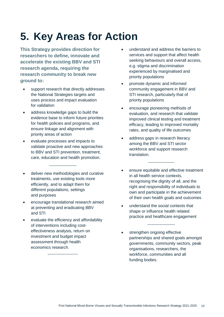# <span id="page-15-0"></span>**5. Key Areas for Action**

**This Strategy provides direction for researchers to define, innovate and accelerate the existing BBV and STI research agenda, requiring the research community to break new ground to:**

- support research that directly addresses the National Strategies targets and uses process and impact evaluation for validation
- address knowledge gaps to build the evidence base to inform future priorities for health policies and programs, and ensure linkage and alignment with priority areas of action
- evaluate processes and impacts to validate proactive and new approaches to BBV and STI prevention, treatment, care, education and health promotion.

--------------------

- deliver new methodologies and curative treatments, use existing tools more efficiently, and to adapt them for different populations, settings and purposes
- encourage translational research aimed at preventing and eradicating BBV and STI
- evaluate the efficiency and affordability of interventions including costeffectiveness analysis, return on investment and budget impact assessment through health economics research.

----------------------

- understand and address the barriers to services and support that affect health seeking behaviours and overall access, e.g. stigma and discrimination experienced by marginalised and priority populations
- promote dynamic and informed community engagement in BBV and STI research, particularly that of priority populations
- encourage pioneering methods of evaluation, and research that validate improved clinical testing and treatment efficacy, leading to improved mortality rates, and quality of life outcomes
- address gaps in research literacy among the BBV and STI sector workforce and support research translation.
- ensure equitable and effective treatment in all health service contexts, recognising the dignity of all, and the right and responsibility of individuals to own and participate in the achievement of their own health goals and outcomes

-------------------

 understand the social contexts that shape or influence health related practice and healthcare engagement

--------------------

 strengthen ongoing effective partnerships and shared goals amongst governments, community sectors, peak organisations, researchers, the workforce, communities and all funding bodies.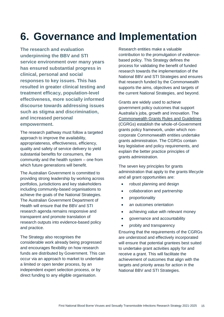### <span id="page-16-0"></span>**6. Governance and Implementation**

**The research and evaluation underpinning the BBV and STI service environment over many years has ensured substantial progress in clinical, personal and social responses to key issues. This has resulted in greater clinical testing and treatment efficacy, population-level effectiveness, more socially informed discourse towards addressing issues such as stigma and discrimination, and increased personal empowerment.** 

The research pathway must follow a targeted approach to improve the availability, appropriateness, effectiveness, efficiency, quality and safety of service delivery to yield substantial benefits for consumers, the community and the health system – one from which future generations will benefit.

The Australian Government is committed to providing strong leadership by working across portfolios, jurisdictions and key stakeholders including community-based organisations to achieve the goals of the National Strategies. The Australian Government Department of Health will ensure that the BBV and STI research agenda remains responsive and transparent and promote translation of research outputs into evidence-based policy and practice.

The Strategy also recognises the considerable work already being progressed and encourages flexibility on how research funds are distributed by Government. This can occur via an approach to market to undertake a limited or open tender process, by an independent expert selection process, or by direct funding to any eligible organisation.

Research entities make a valuable contribution to the promulgation of evidencebased policy. This Strategy defines the process for validating the benefit of funded research towards the implementation of the National BBV and STI Strategies and ensures that research funded by the Commonwealth supports the aims, objectives and targets of the current National Strategies, and beyond.

Grants are widely used to achieve government policy outcomes that support Australia's jobs, growth and innovation. The [Commonwealth Grants Rules and Guidelines](https://www.finance.gov.au/government/commonwealth-grants/commonwealth-grants-rules-and-guidelines) (CGRGs) establish the whole-of-Government grants policy framework, under which noncorporate Commonwealth entities undertake grants administration. The CGRGs contain key legislative and policy requirements, and explain the better practice principles of grants administration.

The seven key principles for grants administration that apply to the grants lifecycle and all grant opportunities are:

- robust planning and design
- collaboration and partnership
- proportionality
- an outcomes orientation
- achieving value with relevant money
- governance and accountability
- probity and transparency

Ensuring that the requirements of the CGRGs are understood and effectively incorporated will ensure that potential grantees best suited to undertake grant activities apply for and receive a grant. This will facilitate the achievement of outcomes that align with the targets and priority areas for action in the National BBV and STI Strategies.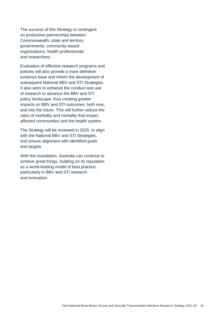The success of this Strategy is contingent on productive partnerships between Commonwealth, state and territory governments, community-based organisations, health professionals and researchers.

Evaluation of effective research programs and policies will also provide a more definitive evidence base and inform the development of subsequent National BBV and STI Strategies. It also aims to enhance the conduct and use of research to advance the BBV and STI policy landscape, thus creating greater impacts on BBV and STI outcomes, both now, and into the future. This will further reduce the rates of morbidity and mortality that impact affected communities and the health system.

The Strategy will be reviewed in 2025, to align with the National BBV and STI Strategies, and ensure alignment with identified goals and targets.

With this foundation, Australia can continue to achieve great things, building on its reputation as a world-leading model of best practice, particularly in BBV and STI research and innovation.